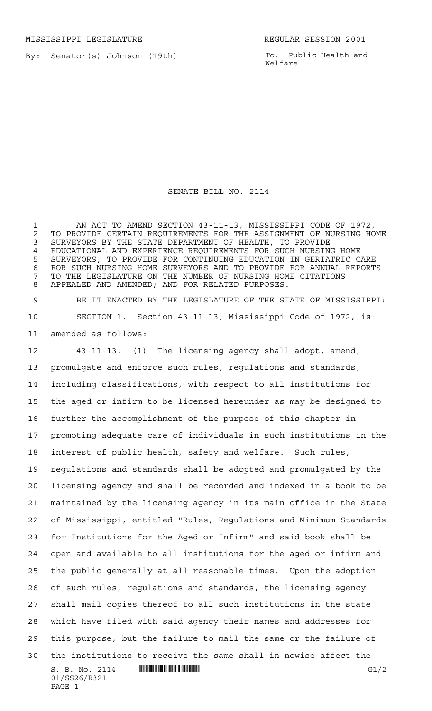By: Senator(s) Johnson (19th)

To: Public Health and Welfare

## SENATE BILL NO. 2114

 AN ACT TO AMEND SECTION 43-11-13, MISSISSIPPI CODE OF 1972, 2 TO PROVIDE CERTAIN REQUIREMENTS FOR THE ASSIGNMENT OF NURSING HOME<br>3 SURVEYORS BY THE STATE DEPARTMENT OF HEALTH, TO PROVIDE SURVEYORS BY THE STATE DEPARTMENT OF HEALTH, TO PROVIDE EDUCATIONAL AND EXPERIENCE REQUIREMENTS FOR SUCH NURSING HOME SURVEYORS, TO PROVIDE FOR CONTINUING EDUCATION IN GERIATRIC CARE FOR SUCH NURSING HOME SURVEYORS AND TO PROVIDE FOR ANNUAL REPORTS TO THE LEGISLATURE ON THE NUMBER OF NURSING HOME CITATIONS APPEALED AND AMENDED; AND FOR RELATED PURPOSES.

 BE IT ENACTED BY THE LEGISLATURE OF THE STATE OF MISSISSIPPI: SECTION 1. Section 43-11-13, Mississippi Code of 1972, is amended as follows:

 $S. B. No. 2114$   $\qquad$   $\qquad$   $\qquad$   $\qquad$   $\qquad$   $\qquad$   $\qquad$   $\qquad$   $\qquad$   $\qquad$   $\qquad$   $\qquad$   $\qquad$   $\qquad$   $\qquad$   $\qquad$   $\qquad$   $\qquad$   $\qquad$   $\qquad$   $\qquad$   $\qquad$   $\qquad$   $\qquad$   $\qquad$   $\qquad$   $\qquad$   $\qquad$   $\qquad$   $\qquad$   $\qquad$   $\qquad$   $\qquad$   $\qquad$   $\q$  43-11-13. (1) The licensing agency shall adopt, amend, promulgate and enforce such rules, regulations and standards, including classifications, with respect to all institutions for the aged or infirm to be licensed hereunder as may be designed to further the accomplishment of the purpose of this chapter in promoting adequate care of individuals in such institutions in the interest of public health, safety and welfare. Such rules, regulations and standards shall be adopted and promulgated by the licensing agency and shall be recorded and indexed in a book to be maintained by the licensing agency in its main office in the State of Mississippi, entitled "Rules, Regulations and Minimum Standards for Institutions for the Aged or Infirm" and said book shall be open and available to all institutions for the aged or infirm and the public generally at all reasonable times. Upon the adoption of such rules, regulations and standards, the licensing agency shall mail copies thereof to all such institutions in the state which have filed with said agency their names and addresses for this purpose, but the failure to mail the same or the failure of the institutions to receive the same shall in nowise affect the

01/SS26/R321 PAGE 1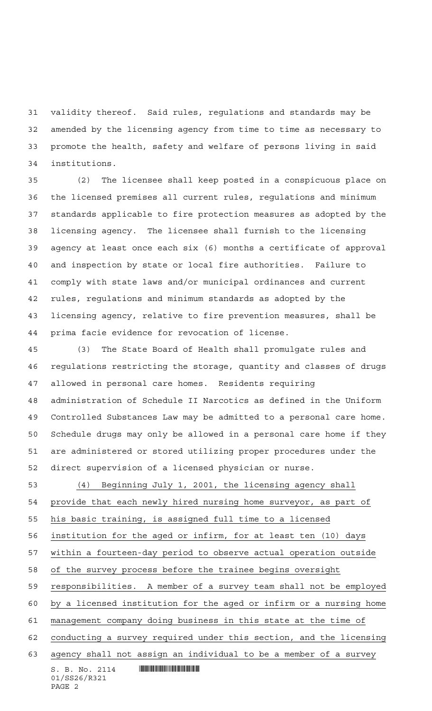validity thereof. Said rules, regulations and standards may be amended by the licensing agency from time to time as necessary to promote the health, safety and welfare of persons living in said institutions.

 (2) The licensee shall keep posted in a conspicuous place on the licensed premises all current rules, regulations and minimum standards applicable to fire protection measures as adopted by the licensing agency. The licensee shall furnish to the licensing agency at least once each six (6) months a certificate of approval and inspection by state or local fire authorities. Failure to comply with state laws and/or municipal ordinances and current rules, regulations and minimum standards as adopted by the licensing agency, relative to fire prevention measures, shall be prima facie evidence for revocation of license.

 (3) The State Board of Health shall promulgate rules and regulations restricting the storage, quantity and classes of drugs allowed in personal care homes. Residents requiring administration of Schedule II Narcotics as defined in the Uniform Controlled Substances Law may be admitted to a personal care home. Schedule drugs may only be allowed in a personal care home if they are administered or stored utilizing proper procedures under the direct supervision of a licensed physician or nurse.

 (4) Beginning July 1, 2001, the licensing agency shall provide that each newly hired nursing home surveyor, as part of his basic training, is assigned full time to a licensed

institution for the aged or infirm, for at least ten (10) days

within a fourteen-day period to observe actual operation outside

of the survey process before the trainee begins oversight

responsibilities. A member of a survey team shall not be employed

by a licensed institution for the aged or infirm or a nursing home

management company doing business in this state at the time of

conducting a survey required under this section, and the licensing

agency shall not assign an individual to be a member of a survey

 $S. B. No. 2114$  . Will constrain the set of  $S. B. N_O. 2114$ 01/SS26/R321 PAGE 2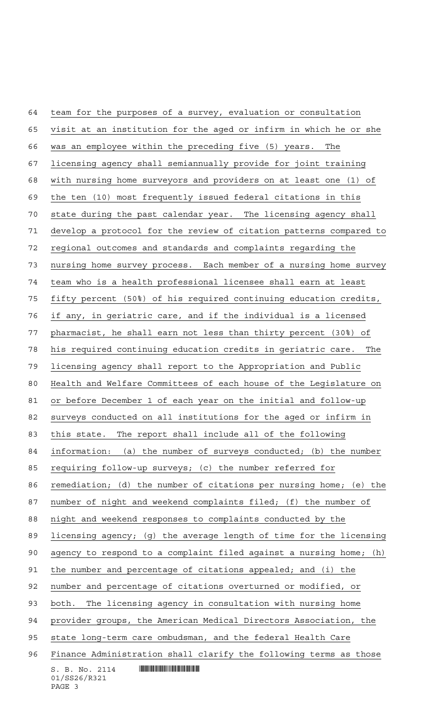$S. B. No. 2114$  . Will constrain the set of  $S. B. N_O. 2114$  team for the purposes of a survey, evaluation or consultation visit at an institution for the aged or infirm in which he or she was an employee within the preceding five (5) years. The licensing agency shall semiannually provide for joint training with nursing home surveyors and providers on at least one (1) of the ten (10) most frequently issued federal citations in this state during the past calendar year. The licensing agency shall develop a protocol for the review of citation patterns compared to regional outcomes and standards and complaints regarding the nursing home survey process. Each member of a nursing home survey team who is a health professional licensee shall earn at least fifty percent (50%) of his required continuing education credits, if any, in geriatric care, and if the individual is a licensed pharmacist, he shall earn not less than thirty percent (30%) of his required continuing education credits in geriatric care. The licensing agency shall report to the Appropriation and Public Health and Welfare Committees of each house of the Legislature on or before December 1 of each year on the initial and follow-up surveys conducted on all institutions for the aged or infirm in this state. The report shall include all of the following information: (a) the number of surveys conducted; (b) the number requiring follow-up surveys; (c) the number referred for remediation; (d) the number of citations per nursing home; (e) the number of night and weekend complaints filed; (f) the number of night and weekend responses to complaints conducted by the licensing agency; (g) the average length of time for the licensing agency to respond to a complaint filed against a nursing home; (h) the number and percentage of citations appealed; and (i) the number and percentage of citations overturned or modified, or both. The licensing agency in consultation with nursing home provider groups, the American Medical Directors Association, the state long-term care ombudsman, and the federal Health Care Finance Administration shall clarify the following terms as those

01/SS26/R321 PAGE 3